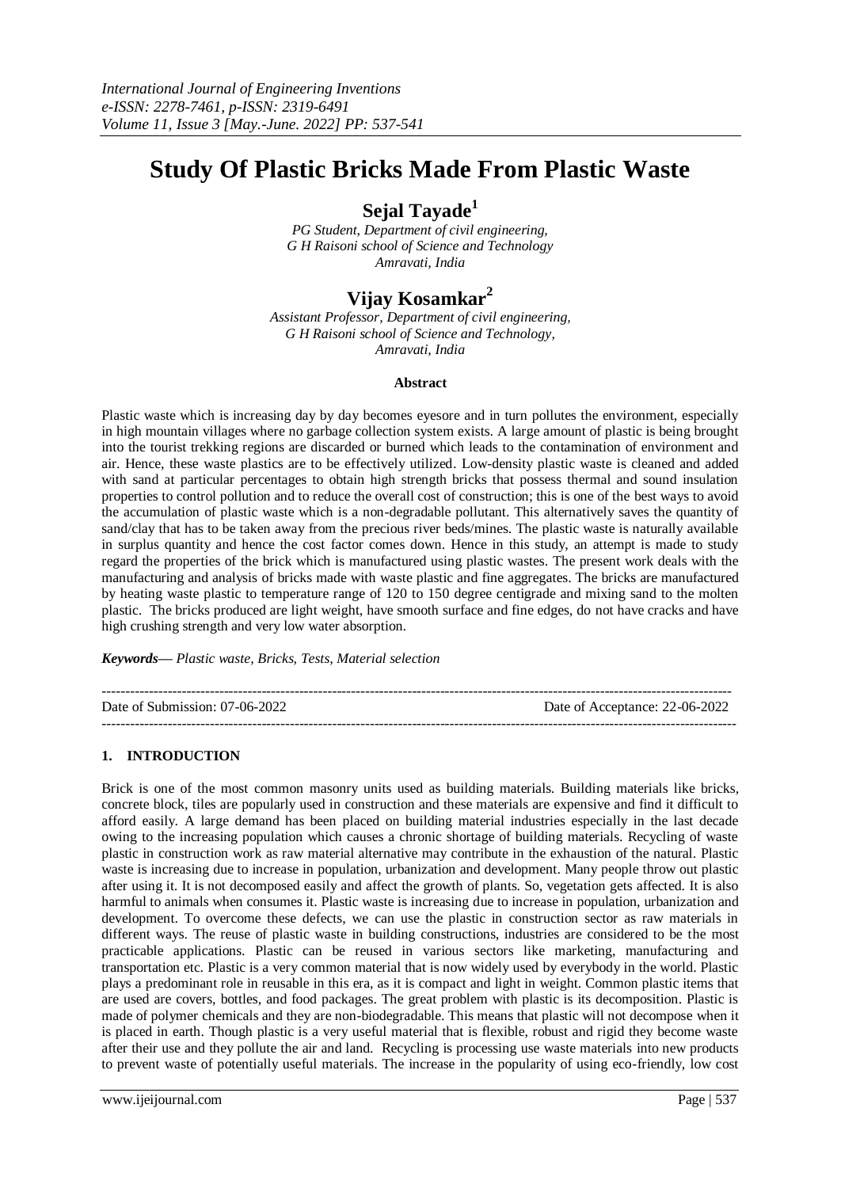# **Study Of Plastic Bricks Made From Plastic Waste**

# **Sejal Tayade<sup>1</sup>**

*PG Student, Department of civil engineering, G H Raisoni school of Science and Technology Amravati, India*

# **Vijay Kosamkar<sup>2</sup>**

*Assistant Professor, Department of civil engineering, G H Raisoni school of Science and Technology, Amravati, India*

# **Abstract**

Plastic waste which is increasing day by day becomes eyesore and in turn pollutes the environment, especially in high mountain villages where no garbage collection system exists. A large amount of plastic is being brought into the tourist trekking regions are discarded or burned which leads to the contamination of environment and air. Hence, these waste plastics are to be effectively utilized. Low-density plastic waste is cleaned and added with sand at particular percentages to obtain high strength bricks that possess thermal and sound insulation properties to control pollution and to reduce the overall cost of construction; this is one of the best ways to avoid the accumulation of plastic waste which is a non-degradable pollutant. This alternatively saves the quantity of sand/clay that has to be taken away from the precious river beds/mines. The plastic waste is naturally available in surplus quantity and hence the cost factor comes down. Hence in this study, an attempt is made to study regard the properties of the brick which is manufactured using plastic wastes. The present work deals with the manufacturing and analysis of bricks made with waste plastic and fine aggregates. The bricks are manufactured by heating waste plastic to temperature range of 120 to 150 degree centigrade and mixing sand to the molten plastic. The bricks produced are light weight, have smooth surface and fine edges, do not have cracks and have high crushing strength and very low water absorption.

*Keywords— Plastic waste, Bricks, Tests, Material selection*

| Date of Submission: 07-06-2022 | Date of Acceptance: 22-06-2022 |
|--------------------------------|--------------------------------|
|                                |                                |

# **1. INTRODUCTION**

Brick is one of the most common masonry units used as building materials. Building materials like bricks, concrete block, tiles are popularly used in construction and these materials are expensive and find it difficult to afford easily. A large demand has been placed on building material industries especially in the last decade owing to the increasing population which causes a chronic shortage of building materials. Recycling of waste plastic in construction work as raw material alternative may contribute in the exhaustion of the natural. Plastic waste is increasing due to increase in population, urbanization and development. Many people throw out plastic after using it. It is not decomposed easily and affect the growth of plants. So, vegetation gets affected. It is also harmful to animals when consumes it. Plastic waste is increasing due to increase in population, urbanization and development. To overcome these defects, we can use the plastic in construction sector as raw materials in different ways. The reuse of plastic waste in building constructions, industries are considered to be the most practicable applications. Plastic can be reused in various sectors like marketing, manufacturing and transportation etc. Plastic is a very common material that is now widely used by everybody in the world. Plastic plays a predominant role in reusable in this era, as it is compact and light in weight. Common plastic items that are used are covers, bottles, and food packages. The great problem with plastic is its decomposition. Plastic is made of polymer chemicals and they are non-biodegradable. This means that plastic will not decompose when it is placed in earth. Though plastic is a very useful material that is flexible, robust and rigid they become waste after their use and they pollute the air and land. Recycling is processing use waste materials into new products to prevent waste of potentially useful materials. The increase in the popularity of using eco-friendly, low cost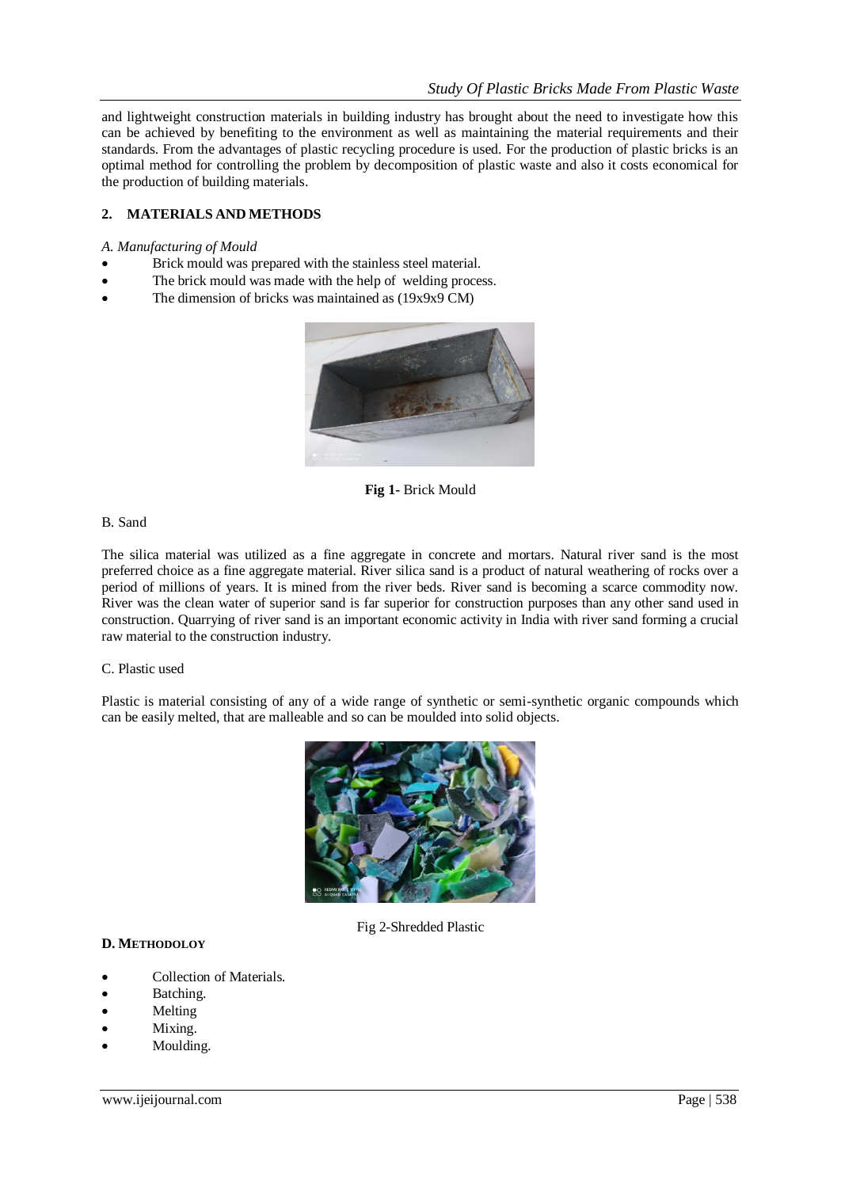and lightweight construction materials in building industry has brought about the need to investigate how this can be achieved by benefiting to the environment as well as maintaining the material requirements and their standards. From the advantages of plastic recycling procedure is used. For the production of plastic bricks is an optimal method for controlling the problem by decomposition of plastic waste and also it costs economical for the production of building materials.

# **2. MATERIALS AND METHODS**

#### *A. Manufacturing of Mould*

- Brick mould was prepared with the stainless steel material.
- The brick mould was made with the help of welding process.
- The dimension of bricks was maintained as (19x9x9 CM)



**Fig 1-** Brick Mould

#### B. Sand

The silica material was utilized as a fine aggregate in concrete and mortars. Natural river sand is the most preferred choice as a fine aggregate material. River silica sand is a product of natural weathering of rocks over a period of millions of years. It is mined from the river beds. River sand is becoming a scarce commodity now. River was the clean water of superior sand is far superior for construction purposes than any other sand used in construction. Quarrying of river sand is an important economic activity in India with river sand forming a crucial raw material to the construction industry.

## C. Plastic used

Plastic is material consisting of any of a wide range of synthetic or semi-synthetic organic compounds which can be easily melted, that are malleable and so can be moulded into solid objects.



Fig 2-Shredded Plastic

# **D. METHODOLOY**

- Collection of Materials.
- Batching.
- Melting
- Mixing.
- Moulding.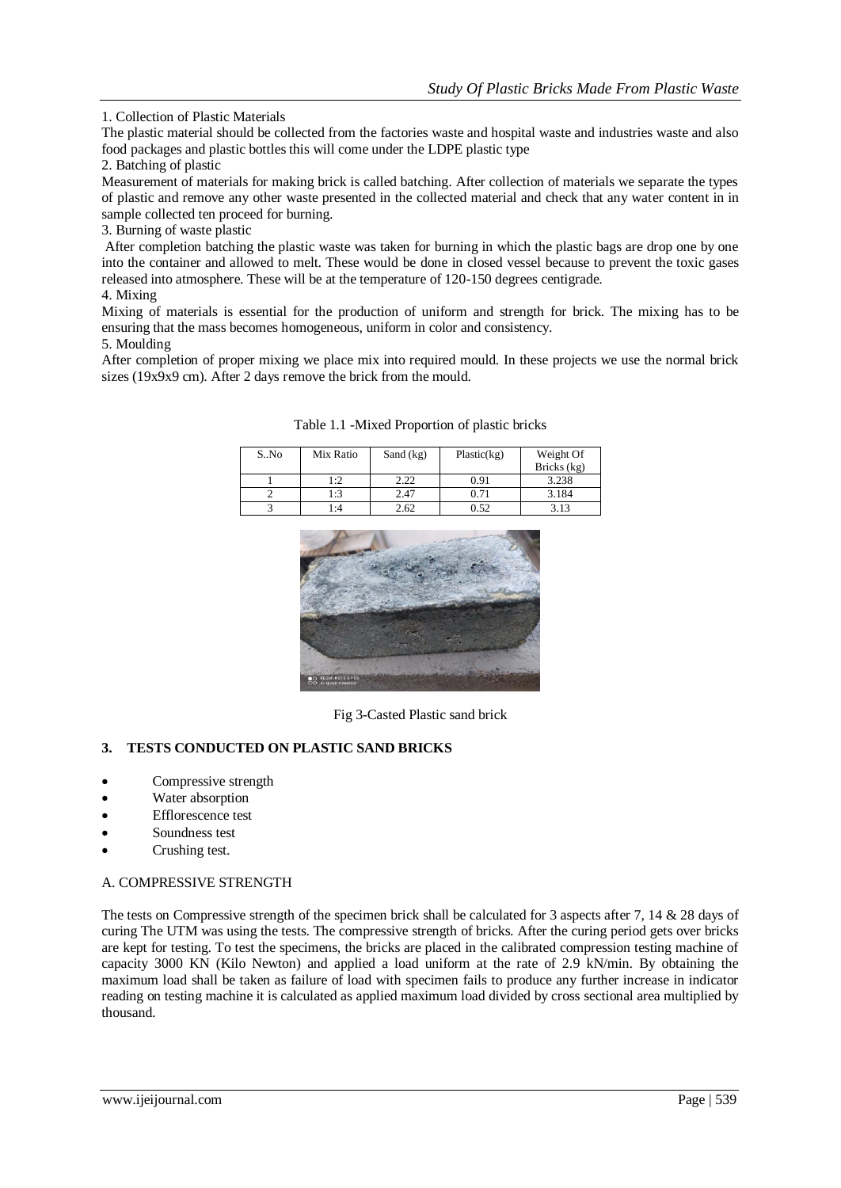1. Collection of Plastic Materials

The plastic material should be collected from the factories waste and hospital waste and industries waste and also food packages and plastic bottles this will come under the LDPE plastic type

2. Batching of plastic

Measurement of materials for making brick is called batching. After collection of materials we separate the types of plastic and remove any other waste presented in the collected material and check that any water content in in sample collected ten proceed for burning.

3. Burning of waste plastic

After completion batching the plastic waste was taken for burning in which the plastic bags are drop one by one into the container and allowed to melt. These would be done in closed vessel because to prevent the toxic gases released into atmosphere. These will be at the temperature of 120-150 degrees centigrade.

4. Mixing

Mixing of materials is essential for the production of uniform and strength for brick. The mixing has to be ensuring that the mass becomes homogeneous, uniform in color and consistency.

5. Moulding

After completion of proper mixing we place mix into required mould. In these projects we use the normal brick sizes (19x9x9 cm). After 2 days remove the brick from the mould.

| S.No | Mix Ratio | Sand $(kg)$ | Plastic(kg) | Weight Of<br>Bricks (kg) |
|------|-----------|-------------|-------------|--------------------------|
|      | 1:2       | 2.22        | 0.91        | 3.238                    |
|      | 1:3       | 2.47        | 0.71        | 3.184                    |
|      | 4: ا      | 2.62        | 0.52        | 3.13                     |

Table 1.1 -Mixed Proportion of plastic bricks



Fig 3-Casted Plastic sand brick

# **3. TESTS CONDUCTED ON PLASTIC SAND BRICKS**

- Compressive strength
- Water absorption
- Efflorescence test
- Soundness test
- Crushing test.

## A. COMPRESSIVE STRENGTH

The tests on Compressive strength of the specimen brick shall be calculated for 3 aspects after 7, 14 & 28 days of curing The UTM was using the tests. The compressive strength of bricks. After the curing period gets over bricks are kept for testing. To test the specimens, the bricks are placed in the calibrated compression testing machine of capacity 3000 KN (Kilo Newton) and applied a load uniform at the rate of 2.9 kN/min. By obtaining the maximum load shall be taken as failure of load with specimen fails to produce any further increase in indicator reading on testing machine it is calculated as applied maximum load divided by cross sectional area multiplied by thousand.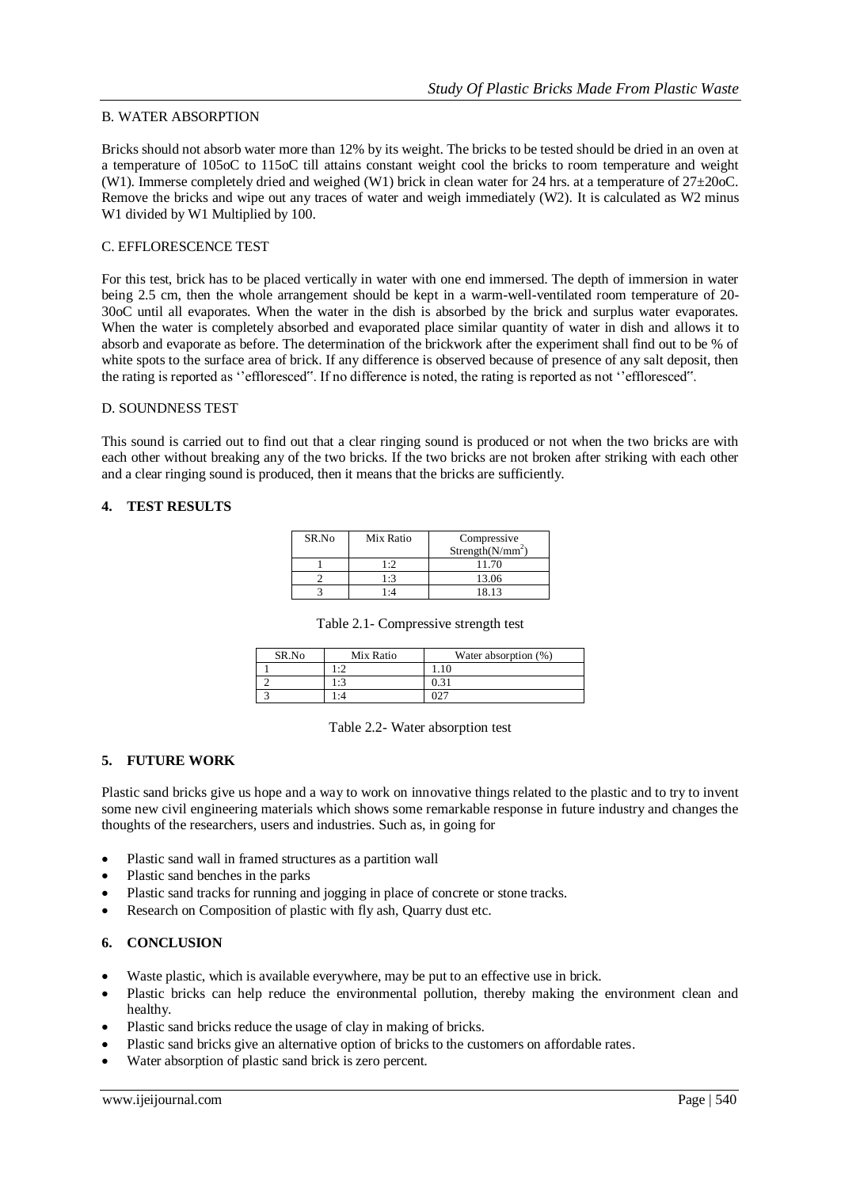# B. WATER ABSORPTION

Bricks should not absorb water more than 12% by its weight. The bricks to be tested should be dried in an oven at a temperature of 105oC to 115oC till attains constant weight cool the bricks to room temperature and weight (W1). Immerse completely dried and weighed (W1) brick in clean water for 24 hrs. at a temperature of  $27\pm20$ oC. Remove the bricks and wipe out any traces of water and weigh immediately (W2). It is calculated as W2 minus W1 divided by W1 Multiplied by 100.

# C. EFFLORESCENCE TEST

For this test, brick has to be placed vertically in water with one end immersed. The depth of immersion in water being 2.5 cm, then the whole arrangement should be kept in a warm-well-ventilated room temperature of 20- 30oC until all evaporates. When the water in the dish is absorbed by the brick and surplus water evaporates. When the water is completely absorbed and evaporated place similar quantity of water in dish and allows it to absorb and evaporate as before. The determination of the brickwork after the experiment shall find out to be % of white spots to the surface area of brick. If any difference is observed because of presence of any salt deposit, then the rating is reported as ''effloresced". If no difference is noted, the rating is reported as not ''effloresced".

## D. SOUNDNESS TEST

This sound is carried out to find out that a clear ringing sound is produced or not when the two bricks are with each other without breaking any of the two bricks. If the two bricks are not broken after striking with each other and a clear ringing sound is produced, then it means that the bricks are sufficiently.

## **4. TEST RESULTS**

| SR.No | Mix Ratio   | Compressive<br>Strength( $N/mm^2$ ) |
|-------|-------------|-------------------------------------|
|       | $1 \cdot 2$ | 11.70                               |
|       | 1:3         | 13.06                               |
|       | $\cdot$ 4   | 8.13                                |

| SR.No | Mix Ratio      | Water absorption (%) |
|-------|----------------|----------------------|
|       | $\cdot$ $\sim$ |                      |
|       |                | 0.31                 |
|       |                |                      |

Table 2.2- Water absorption test

## **5. FUTURE WORK**

Plastic sand bricks give us hope and a way to work on innovative things related to the plastic and to try to invent some new civil engineering materials which shows some remarkable response in future industry and changes the thoughts of the researchers, users and industries. Such as, in going for

- Plastic sand wall in framed structures as a partition wall
- Plastic sand benches in the parks
- Plastic sand tracks for running and jogging in place of concrete or stone tracks.
- Research on Composition of plastic with fly ash, Quarry dust etc.

## **6. CONCLUSION**

- Waste plastic, which is available everywhere, may be put to an effective use in brick.
- Plastic bricks can help reduce the environmental pollution, thereby making the environment clean and healthy.
- Plastic sand bricks reduce the usage of clay in making of bricks.
- Plastic sand bricks give an alternative option of bricks to the customers on affordable rates.
- Water absorption of plastic sand brick is zero percent.